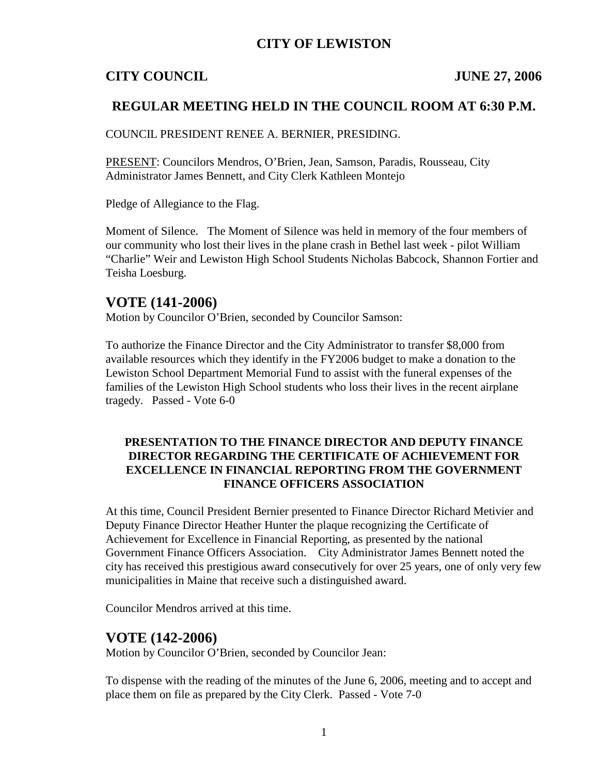## **CITY OF LEWISTON**

## **CITY COUNCIL JUNE 27, 2006**

## **REGULAR MEETING HELD IN THE COUNCIL ROOM AT 6:30 P.M.**

COUNCIL PRESIDENT RENEE A. BERNIER, PRESIDING.

PRESENT: Councilors Mendros, O'Brien, Jean, Samson, Paradis, Rousseau, City Administrator James Bennett, and City Clerk Kathleen Montejo

Pledge of Allegiance to the Flag.

Moment of Silence. The Moment of Silence was held in memory of the four members of our community who lost their lives in the plane crash in Bethel last week - pilot William "Charlie" Weir and Lewiston High School Students Nicholas Babcock, Shannon Fortier and Teisha Loesburg.

## **VOTE (141-2006)**

Motion by Councilor O'Brien, seconded by Councilor Samson:

To authorize the Finance Director and the City Administrator to transfer \$8,000 from available resources which they identify in the FY2006 budget to make a donation to the Lewiston School Department Memorial Fund to assist with the funeral expenses of the families of the Lewiston High School students who loss their lives in the recent airplane tragedy. Passed - Vote 6-0

#### **PRESENTATION TO THE FINANCE DIRECTOR AND DEPUTY FINANCE DIRECTOR REGARDING THE CERTIFICATE OF ACHIEVEMENT FOR EXCELLENCE IN FINANCIAL REPORTING FROM THE GOVERNMENT FINANCE OFFICERS ASSOCIATION**

At this time, Council President Bernier presented to Finance Director Richard Metivier and Deputy Finance Director Heather Hunter the plaque recognizing the Certificate of Achievement for Excellence in Financial Reporting, as presented by the national Government Finance Officers Association. City Administrator James Bennett noted the city has received this prestigious award consecutively for over 25 years, one of only very few municipalities in Maine that receive such a distinguished award.

Councilor Mendros arrived at this time.

## **VOTE (142-2006)**

Motion by Councilor O'Brien, seconded by Councilor Jean:

To dispense with the reading of the minutes of the June 6, 2006, meeting and to accept and place them on file as prepared by the City Clerk. Passed - Vote 7-0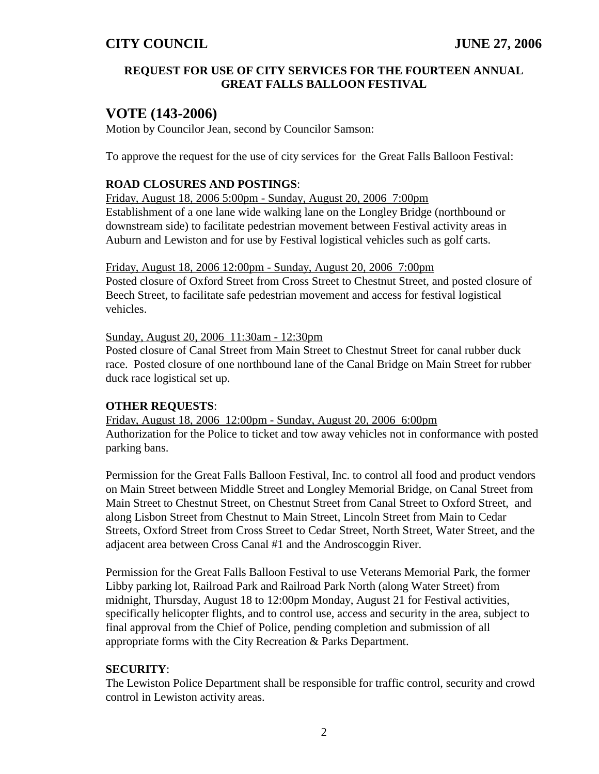#### **REQUEST FOR USE OF CITY SERVICES FOR THE FOURTEEN ANNUAL GREAT FALLS BALLOON FESTIVAL**

# **VOTE (143-2006)**

Motion by Councilor Jean, second by Councilor Samson:

To approve the request for the use of city services for the Great Falls Balloon Festival:

#### **ROAD CLOSURES AND POSTINGS**:

Friday, August 18, 2006 5:00pm - Sunday, August 20, 2006 7:00pm Establishment of a one lane wide walking lane on the Longley Bridge (northbound or downstream side) to facilitate pedestrian movement between Festival activity areas in Auburn and Lewiston and for use by Festival logistical vehicles such as golf carts.

Friday, August 18, 2006 12:00pm - Sunday, August 20, 2006 7:00pm Posted closure of Oxford Street from Cross Street to Chestnut Street, and posted closure of Beech Street, to facilitate safe pedestrian movement and access for festival logistical vehicles.

Sunday, August 20, 2006 11:30am - 12:30pm

Posted closure of Canal Street from Main Street to Chestnut Street for canal rubber duck race. Posted closure of one northbound lane of the Canal Bridge on Main Street for rubber duck race logistical set up.

#### **OTHER REQUESTS**:

Friday, August 18, 2006 12:00pm - Sunday, August 20, 2006 6:00pm Authorization for the Police to ticket and tow away vehicles not in conformance with posted parking bans.

Permission for the Great Falls Balloon Festival, Inc. to control all food and product vendors on Main Street between Middle Street and Longley Memorial Bridge, on Canal Street from Main Street to Chestnut Street, on Chestnut Street from Canal Street to Oxford Street, and along Lisbon Street from Chestnut to Main Street, Lincoln Street from Main to Cedar Streets, Oxford Street from Cross Street to Cedar Street, North Street, Water Street, and the adjacent area between Cross Canal #1 and the Androscoggin River.

Permission for the Great Falls Balloon Festival to use Veterans Memorial Park, the former Libby parking lot, Railroad Park and Railroad Park North (along Water Street) from midnight, Thursday, August 18 to 12:00pm Monday, August 21 for Festival activities, specifically helicopter flights, and to control use, access and security in the area, subject to final approval from the Chief of Police, pending completion and submission of all appropriate forms with the City Recreation & Parks Department.

#### **SECURITY**:

The Lewiston Police Department shall be responsible for traffic control, security and crowd control in Lewiston activity areas.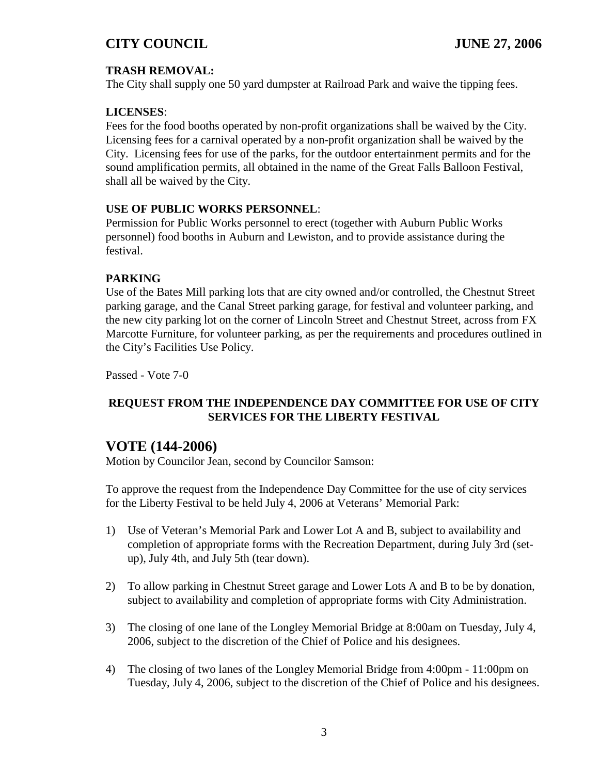## **TRASH REMOVAL:**

The City shall supply one 50 yard dumpster at Railroad Park and waive the tipping fees.

### **LICENSES**:

Fees for the food booths operated by non-profit organizations shall be waived by the City. Licensing fees for a carnival operated by a non-profit organization shall be waived by the City. Licensing fees for use of the parks, for the outdoor entertainment permits and for the sound amplification permits, all obtained in the name of the Great Falls Balloon Festival, shall all be waived by the City.

#### **USE OF PUBLIC WORKS PERSONNEL**:

Permission for Public Works personnel to erect (together with Auburn Public Works personnel) food booths in Auburn and Lewiston, and to provide assistance during the festival.

#### **PARKING**

Use of the Bates Mill parking lots that are city owned and/or controlled, the Chestnut Street parking garage, and the Canal Street parking garage, for festival and volunteer parking, and the new city parking lot on the corner of Lincoln Street and Chestnut Street, across from FX Marcotte Furniture, for volunteer parking, as per the requirements and procedures outlined in the City's Facilities Use Policy.

Passed - Vote 7-0

## **REQUEST FROM THE INDEPENDENCE DAY COMMITTEE FOR USE OF CITY SERVICES FOR THE LIBERTY FESTIVAL**

## **VOTE (144-2006)**

Motion by Councilor Jean, second by Councilor Samson:

To approve the request from the Independence Day Committee for the use of city services for the Liberty Festival to be held July 4, 2006 at Veterans' Memorial Park:

- 1) Use of Veteran's Memorial Park and Lower Lot A and B, subject to availability and completion of appropriate forms with the Recreation Department, during July 3rd (setup), July 4th, and July 5th (tear down).
- 2) To allow parking in Chestnut Street garage and Lower Lots A and B to be by donation, subject to availability and completion of appropriate forms with City Administration.
- 3) The closing of one lane of the Longley Memorial Bridge at 8:00am on Tuesday, July 4, 2006, subject to the discretion of the Chief of Police and his designees.
- 4) The closing of two lanes of the Longley Memorial Bridge from 4:00pm 11:00pm on Tuesday, July 4, 2006, subject to the discretion of the Chief of Police and his designees.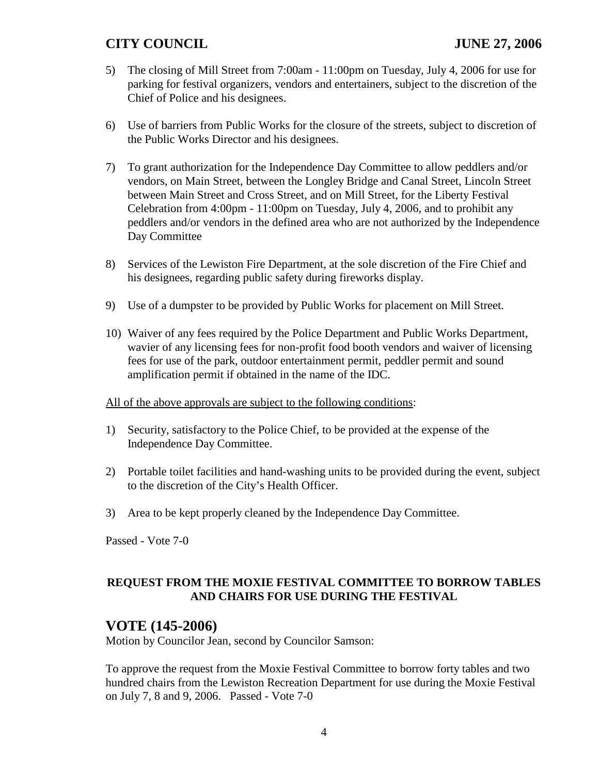- 5) The closing of Mill Street from 7:00am 11:00pm on Tuesday, July 4, 2006 for use for parking for festival organizers, vendors and entertainers, subject to the discretion of the Chief of Police and his designees.
- 6) Use of barriers from Public Works for the closure of the streets, subject to discretion of the Public Works Director and his designees.
- 7) To grant authorization for the Independence Day Committee to allow peddlers and/or vendors, on Main Street, between the Longley Bridge and Canal Street, Lincoln Street between Main Street and Cross Street, and on Mill Street, for the Liberty Festival Celebration from 4:00pm - 11:00pm on Tuesday, July 4, 2006, and to prohibit any peddlers and/or vendors in the defined area who are not authorized by the Independence Day Committee
- 8) Services of the Lewiston Fire Department, at the sole discretion of the Fire Chief and his designees, regarding public safety during fireworks display.
- 9) Use of a dumpster to be provided by Public Works for placement on Mill Street.
- 10) Waiver of any fees required by the Police Department and Public Works Department, wavier of any licensing fees for non-profit food booth vendors and waiver of licensing fees for use of the park, outdoor entertainment permit, peddler permit and sound amplification permit if obtained in the name of the IDC.
- All of the above approvals are subject to the following conditions:
- 1) Security, satisfactory to the Police Chief, to be provided at the expense of the Independence Day Committee.
- 2) Portable toilet facilities and hand-washing units to be provided during the event, subject to the discretion of the City's Health Officer.
- 3) Area to be kept properly cleaned by the Independence Day Committee.

Passed - Vote 7-0

## **REQUEST FROM THE MOXIE FESTIVAL COMMITTEE TO BORROW TABLES AND CHAIRS FOR USE DURING THE FESTIVAL**

# **VOTE (145-2006)**

Motion by Councilor Jean, second by Councilor Samson:

To approve the request from the Moxie Festival Committee to borrow forty tables and two hundred chairs from the Lewiston Recreation Department for use during the Moxie Festival on July 7, 8 and 9, 2006. Passed - Vote 7-0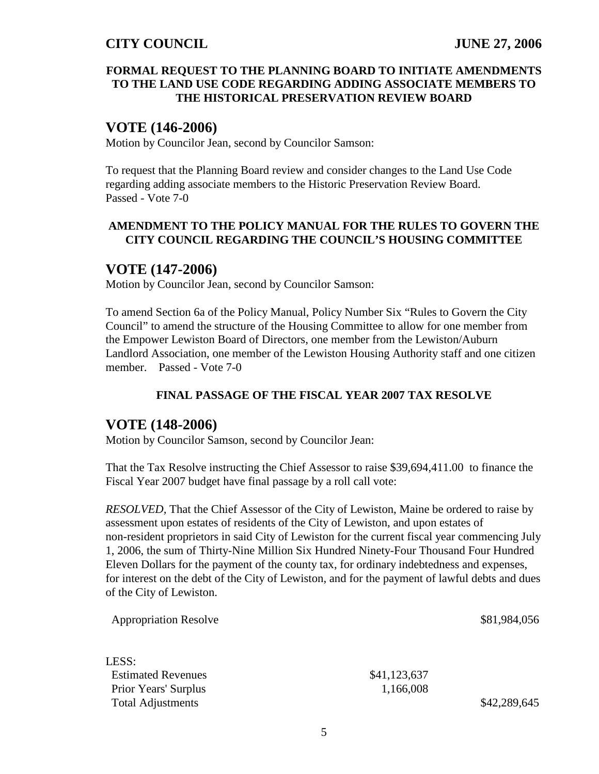#### **FORMAL REQUEST TO THE PLANNING BOARD TO INITIATE AMENDMENTS TO THE LAND USE CODE REGARDING ADDING ASSOCIATE MEMBERS TO THE HISTORICAL PRESERVATION REVIEW BOARD**

## **VOTE (146-2006)**

Motion by Councilor Jean, second by Councilor Samson:

To request that the Planning Board review and consider changes to the Land Use Code regarding adding associate members to the Historic Preservation Review Board. Passed - Vote 7-0

#### **AMENDMENT TO THE POLICY MANUAL FOR THE RULES TO GOVERN THE CITY COUNCIL REGARDING THE COUNCIL'S HOUSING COMMITTEE**

## **VOTE (147-2006)**

Motion by Councilor Jean, second by Councilor Samson:

To amend Section 6a of the Policy Manual, Policy Number Six "Rules to Govern the City Council" to amend the structure of the Housing Committee to allow for one member from the Empower Lewiston Board of Directors, one member from the Lewiston/Auburn Landlord Association, one member of the Lewiston Housing Authority staff and one citizen member. Passed - Vote 7-0

#### **FINAL PASSAGE OF THE FISCAL YEAR 2007 TAX RESOLVE**

## **VOTE (148-2006)**

Motion by Councilor Samson, second by Councilor Jean:

That the Tax Resolve instructing the Chief Assessor to raise \$39,694,411.00 to finance the Fiscal Year 2007 budget have final passage by a roll call vote:

*RESOLVED,* That the Chief Assessor of the City of Lewiston, Maine be ordered to raise by assessment upon estates of residents of the City of Lewiston, and upon estates of non-resident proprietors in said City of Lewiston for the current fiscal year commencing July 1, 2006, the sum of Thirty-Nine Million Six Hundred Ninety-Four Thousand Four Hundred Eleven Dollars for the payment of the county tax, for ordinary indebtedness and expenses, for interest on the debt of the City of Lewiston, and for the payment of lawful debts and dues of the City of Lewiston.

| <b>Appropriation Resolve</b> |              | \$81,984,056 |
|------------------------------|--------------|--------------|
| LESS:                        |              |              |
| <b>Estimated Revenues</b>    | \$41,123,637 |              |
| Prior Years' Surplus         | 1,166,008    |              |
| <b>Total Adjustments</b>     |              | \$42,289,645 |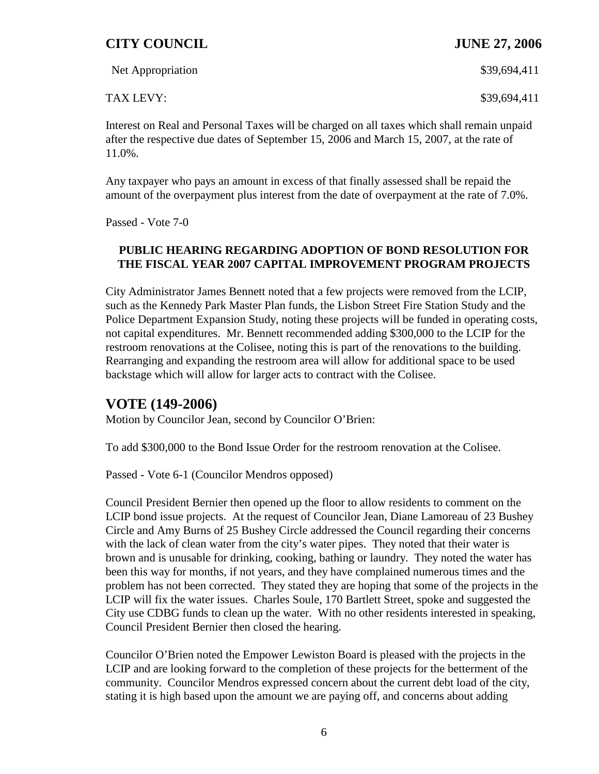| Net Appropriation | \$39,694,411 |
|-------------------|--------------|
| TAX LEVY:         | \$39,694,411 |

Interest on Real and Personal Taxes will be charged on all taxes which shall remain unpaid after the respective due dates of September 15, 2006 and March 15, 2007, at the rate of 11.0%.

Any taxpayer who pays an amount in excess of that finally assessed shall be repaid the amount of the overpayment plus interest from the date of overpayment at the rate of 7.0%.

Passed - Vote 7-0

#### **PUBLIC HEARING REGARDING ADOPTION OF BOND RESOLUTION FOR THE FISCAL YEAR 2007 CAPITAL IMPROVEMENT PROGRAM PROJECTS**

City Administrator James Bennett noted that a few projects were removed from the LCIP, such as the Kennedy Park Master Plan funds, the Lisbon Street Fire Station Study and the Police Department Expansion Study, noting these projects will be funded in operating costs, not capital expenditures. Mr. Bennett recommended adding \$300,000 to the LCIP for the restroom renovations at the Colisee, noting this is part of the renovations to the building. Rearranging and expanding the restroom area will allow for additional space to be used backstage which will allow for larger acts to contract with the Colisee.

# **VOTE (149-2006)**

Motion by Councilor Jean, second by Councilor O'Brien:

To add \$300,000 to the Bond Issue Order for the restroom renovation at the Colisee.

Passed - Vote 6-1 (Councilor Mendros opposed)

Council President Bernier then opened up the floor to allow residents to comment on the LCIP bond issue projects. At the request of Councilor Jean, Diane Lamoreau of 23 Bushey Circle and Amy Burns of 25 Bushey Circle addressed the Council regarding their concerns with the lack of clean water from the city's water pipes. They noted that their water is brown and is unusable for drinking, cooking, bathing or laundry. They noted the water has been this way for months, if not years, and they have complained numerous times and the problem has not been corrected. They stated they are hoping that some of the projects in the LCIP will fix the water issues. Charles Soule, 170 Bartlett Street, spoke and suggested the City use CDBG funds to clean up the water. With no other residents interested in speaking, Council President Bernier then closed the hearing.

Councilor O'Brien noted the Empower Lewiston Board is pleased with the projects in the LCIP and are looking forward to the completion of these projects for the betterment of the community. Councilor Mendros expressed concern about the current debt load of the city, stating it is high based upon the amount we are paying off, and concerns about adding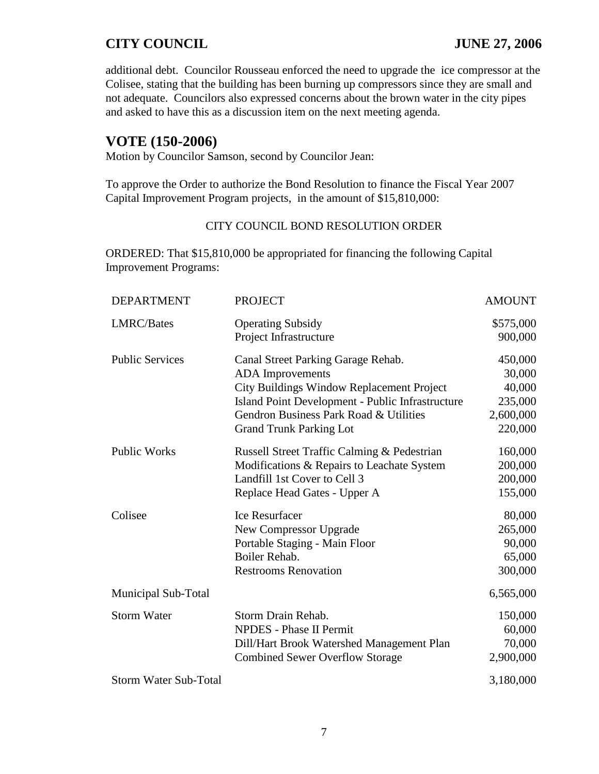additional debt. Councilor Rousseau enforced the need to upgrade the ice compressor at the Colisee, stating that the building has been burning up compressors since they are small and not adequate. Councilors also expressed concerns about the brown water in the city pipes and asked to have this as a discussion item on the next meeting agenda.

## **VOTE (150-2006)**

Motion by Councilor Samson, second by Councilor Jean:

To approve the Order to authorize the Bond Resolution to finance the Fiscal Year 2007 Capital Improvement Program projects, in the amount of \$15,810,000:

#### CITY COUNCIL BOND RESOLUTION ORDER

ORDERED: That \$15,810,000 be appropriated for financing the following Capital Improvement Programs:

| <b>DEPARTMENT</b>            | <b>PROJECT</b>                                   | <b>AMOUNT</b> |
|------------------------------|--------------------------------------------------|---------------|
| LMRC/Bates                   | <b>Operating Subsidy</b>                         | \$575,000     |
|                              | Project Infrastructure                           | 900,000       |
| <b>Public Services</b>       | Canal Street Parking Garage Rehab.               | 450,000       |
|                              | <b>ADA</b> Improvements                          | 30,000        |
|                              | City Buildings Window Replacement Project        | 40,000        |
|                              | Island Point Development - Public Infrastructure | 235,000       |
|                              | Gendron Business Park Road & Utilities           | 2,600,000     |
|                              | <b>Grand Trunk Parking Lot</b>                   | 220,000       |
| <b>Public Works</b>          | Russell Street Traffic Calming & Pedestrian      | 160,000       |
|                              | Modifications & Repairs to Leachate System       | 200,000       |
|                              | Landfill 1st Cover to Cell 3                     | 200,000       |
|                              | Replace Head Gates - Upper A                     | 155,000       |
| Colisee                      | Ice Resurfacer                                   | 80,000        |
|                              | New Compressor Upgrade                           | 265,000       |
|                              | Portable Staging - Main Floor                    | 90,000        |
|                              | Boiler Rehab.                                    | 65,000        |
|                              | <b>Restrooms Renovation</b>                      | 300,000       |
| Municipal Sub-Total          |                                                  | 6,565,000     |
| <b>Storm Water</b>           | Storm Drain Rehab.                               | 150,000       |
|                              | <b>NPDES</b> - Phase II Permit                   | 60,000        |
|                              | Dill/Hart Brook Watershed Management Plan        | 70,000        |
|                              | <b>Combined Sewer Overflow Storage</b>           | 2,900,000     |
| <b>Storm Water Sub-Total</b> |                                                  | 3,180,000     |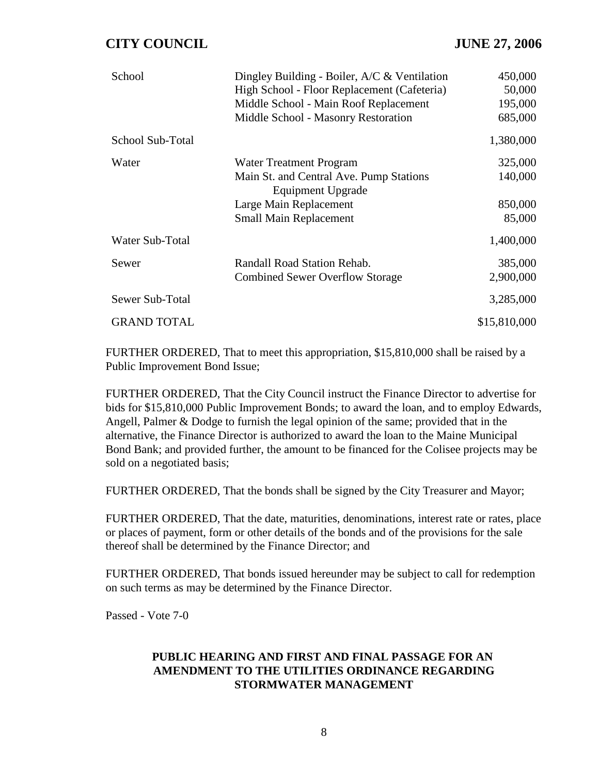| School             | Dingley Building - Boiler, $A/C & Ventilation$<br>High School - Floor Replacement (Cafeteria)<br>Middle School - Main Roof Replacement<br>Middle School - Masonry Restoration | 450,000<br>50,000<br>195,000<br>685,000 |
|--------------------|-------------------------------------------------------------------------------------------------------------------------------------------------------------------------------|-----------------------------------------|
| School Sub-Total   |                                                                                                                                                                               | 1,380,000                               |
| Water              | Water Treatment Program<br>Main St. and Central Ave. Pump Stations<br>Equipment Upgrade<br>Large Main Replacement<br><b>Small Main Replacement</b>                            | 325,000<br>140,000<br>850,000<br>85,000 |
| Water Sub-Total    |                                                                                                                                                                               | 1,400,000                               |
| Sewer              | Randall Road Station Rehab.<br><b>Combined Sewer Overflow Storage</b>                                                                                                         | 385,000<br>2,900,000                    |
| Sewer Sub-Total    |                                                                                                                                                                               | 3,285,000                               |
| <b>GRAND TOTAL</b> |                                                                                                                                                                               | \$15,810,000                            |

FURTHER ORDERED, That to meet this appropriation, \$15,810,000 shall be raised by a Public Improvement Bond Issue;

FURTHER ORDERED, That the City Council instruct the Finance Director to advertise for bids for \$15,810,000 Public Improvement Bonds; to award the loan, and to employ Edwards, Angell, Palmer & Dodge to furnish the legal opinion of the same; provided that in the alternative, the Finance Director is authorized to award the loan to the Maine Municipal Bond Bank; and provided further, the amount to be financed for the Colisee projects may be sold on a negotiated basis;

FURTHER ORDERED, That the bonds shall be signed by the City Treasurer and Mayor;

FURTHER ORDERED, That the date, maturities, denominations, interest rate or rates, place or places of payment, form or other details of the bonds and of the provisions for the sale thereof shall be determined by the Finance Director; and

FURTHER ORDERED, That bonds issued hereunder may be subject to call for redemption on such terms as may be determined by the Finance Director.

Passed - Vote 7-0

#### **PUBLIC HEARING AND FIRST AND FINAL PASSAGE FOR AN AMENDMENT TO THE UTILITIES ORDINANCE REGARDING STORMWATER MANAGEMENT**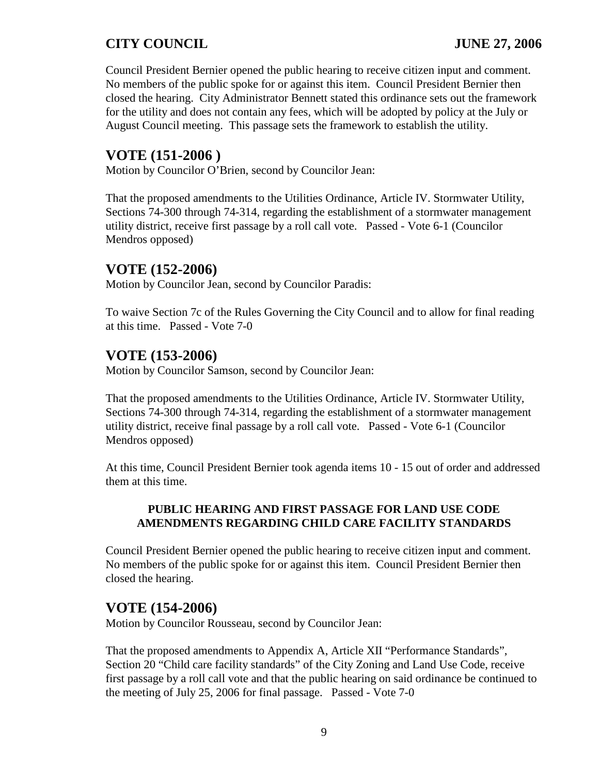Council President Bernier opened the public hearing to receive citizen input and comment. No members of the public spoke for or against this item. Council President Bernier then closed the hearing. City Administrator Bennett stated this ordinance sets out the framework for the utility and does not contain any fees, which will be adopted by policy at the July or August Council meeting. This passage sets the framework to establish the utility.

## **VOTE (151-2006 )**

Motion by Councilor O'Brien, second by Councilor Jean:

That the proposed amendments to the Utilities Ordinance, Article IV. Stormwater Utility, Sections 74-300 through 74-314, regarding the establishment of a stormwater management utility district, receive first passage by a roll call vote. Passed - Vote 6-1 (Councilor Mendros opposed)

## **VOTE (152-2006)**

Motion by Councilor Jean, second by Councilor Paradis:

To waive Section 7c of the Rules Governing the City Council and to allow for final reading at this time. Passed - Vote 7-0

## **VOTE (153-2006)**

Motion by Councilor Samson, second by Councilor Jean:

That the proposed amendments to the Utilities Ordinance, Article IV. Stormwater Utility, Sections 74-300 through 74-314, regarding the establishment of a stormwater management utility district, receive final passage by a roll call vote. Passed - Vote 6-1 (Councilor Mendros opposed)

At this time, Council President Bernier took agenda items 10 - 15 out of order and addressed them at this time.

#### **PUBLIC HEARING AND FIRST PASSAGE FOR LAND USE CODE AMENDMENTS REGARDING CHILD CARE FACILITY STANDARDS**

Council President Bernier opened the public hearing to receive citizen input and comment. No members of the public spoke for or against this item. Council President Bernier then closed the hearing.

## **VOTE (154-2006)**

Motion by Councilor Rousseau, second by Councilor Jean:

That the proposed amendments to Appendix A, Article XII "Performance Standards", Section 20 "Child care facility standards" of the City Zoning and Land Use Code, receive first passage by a roll call vote and that the public hearing on said ordinance be continued to the meeting of July 25, 2006 for final passage. Passed - Vote 7-0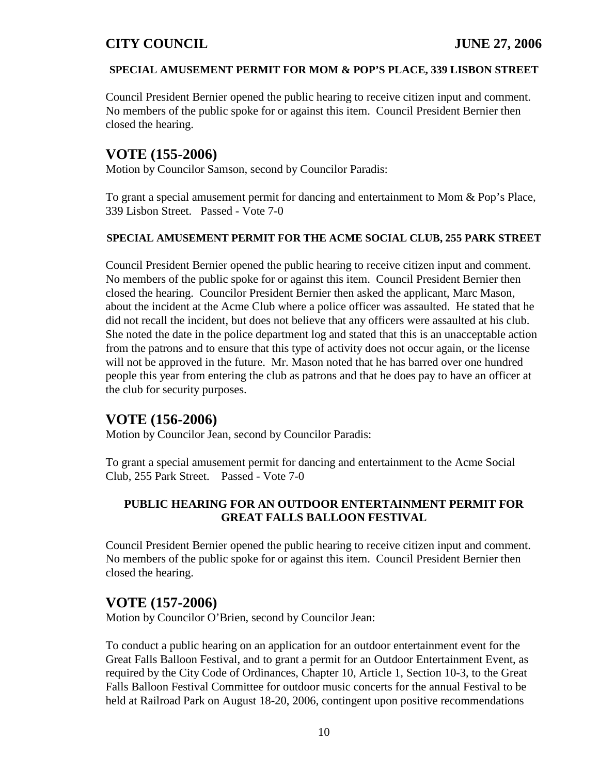#### **SPECIAL AMUSEMENT PERMIT FOR MOM & POP'S PLACE, 339 LISBON STREET**

Council President Bernier opened the public hearing to receive citizen input and comment. No members of the public spoke for or against this item. Council President Bernier then closed the hearing.

# **VOTE (155-2006)**

Motion by Councilor Samson, second by Councilor Paradis:

To grant a special amusement permit for dancing and entertainment to Mom & Pop's Place, 339 Lisbon Street. Passed - Vote 7-0

#### **SPECIAL AMUSEMENT PERMIT FOR THE ACME SOCIAL CLUB, 255 PARK STREET**

Council President Bernier opened the public hearing to receive citizen input and comment. No members of the public spoke for or against this item. Council President Bernier then closed the hearing. Councilor President Bernier then asked the applicant, Marc Mason, about the incident at the Acme Club where a police officer was assaulted. He stated that he did not recall the incident, but does not believe that any officers were assaulted at his club. She noted the date in the police department log and stated that this is an unacceptable action from the patrons and to ensure that this type of activity does not occur again, or the license will not be approved in the future. Mr. Mason noted that he has barred over one hundred people this year from entering the club as patrons and that he does pay to have an officer at the club for security purposes.

# **VOTE (156-2006)**

Motion by Councilor Jean, second by Councilor Paradis:

To grant a special amusement permit for dancing and entertainment to the Acme Social Club, 255 Park Street. Passed - Vote 7-0

## **PUBLIC HEARING FOR AN OUTDOOR ENTERTAINMENT PERMIT FOR GREAT FALLS BALLOON FESTIVAL**

Council President Bernier opened the public hearing to receive citizen input and comment. No members of the public spoke for or against this item. Council President Bernier then closed the hearing.

# **VOTE (157-2006)**

Motion by Councilor O'Brien, second by Councilor Jean:

To conduct a public hearing on an application for an outdoor entertainment event for the Great Falls Balloon Festival, and to grant a permit for an Outdoor Entertainment Event, as required by the City Code of Ordinances, Chapter 10, Article 1, Section 10-3, to the Great Falls Balloon Festival Committee for outdoor music concerts for the annual Festival to be held at Railroad Park on August 18-20, 2006, contingent upon positive recommendations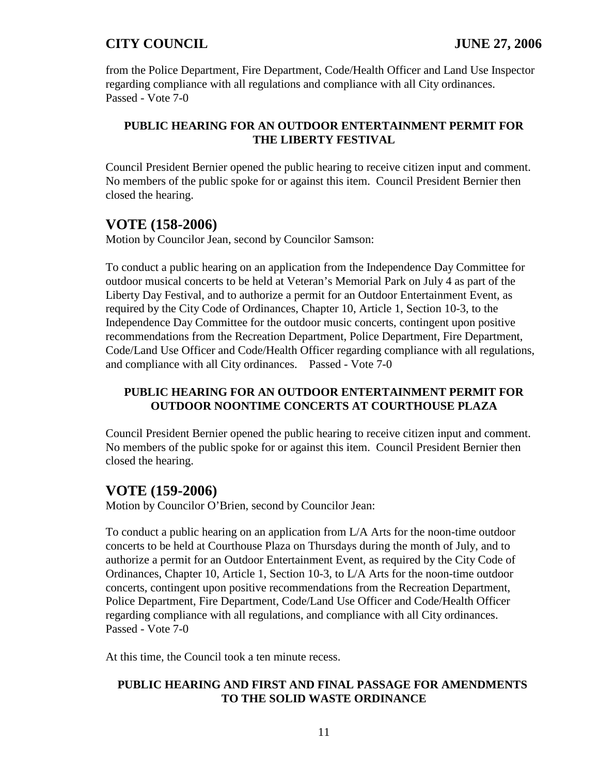from the Police Department, Fire Department, Code/Health Officer and Land Use Inspector regarding compliance with all regulations and compliance with all City ordinances. Passed - Vote 7-0

#### **PUBLIC HEARING FOR AN OUTDOOR ENTERTAINMENT PERMIT FOR THE LIBERTY FESTIVAL**

Council President Bernier opened the public hearing to receive citizen input and comment. No members of the public spoke for or against this item. Council President Bernier then closed the hearing.

# **VOTE (158-2006)**

Motion by Councilor Jean, second by Councilor Samson:

To conduct a public hearing on an application from the Independence Day Committee for outdoor musical concerts to be held at Veteran's Memorial Park on July 4 as part of the Liberty Day Festival, and to authorize a permit for an Outdoor Entertainment Event, as required by the City Code of Ordinances, Chapter 10, Article 1, Section 10-3, to the Independence Day Committee for the outdoor music concerts, contingent upon positive recommendations from the Recreation Department, Police Department, Fire Department, Code/Land Use Officer and Code/Health Officer regarding compliance with all regulations, and compliance with all City ordinances. Passed - Vote 7-0

#### **PUBLIC HEARING FOR AN OUTDOOR ENTERTAINMENT PERMIT FOR OUTDOOR NOONTIME CONCERTS AT COURTHOUSE PLAZA**

Council President Bernier opened the public hearing to receive citizen input and comment. No members of the public spoke for or against this item. Council President Bernier then closed the hearing.

# **VOTE (159-2006)**

Motion by Councilor O'Brien, second by Councilor Jean:

To conduct a public hearing on an application from L/A Arts for the noon-time outdoor concerts to be held at Courthouse Plaza on Thursdays during the month of July, and to authorize a permit for an Outdoor Entertainment Event, as required by the City Code of Ordinances, Chapter 10, Article 1, Section 10-3, to L/A Arts for the noon-time outdoor concerts, contingent upon positive recommendations from the Recreation Department, Police Department, Fire Department, Code/Land Use Officer and Code/Health Officer regarding compliance with all regulations, and compliance with all City ordinances. Passed - Vote 7-0

At this time, the Council took a ten minute recess.

#### **PUBLIC HEARING AND FIRST AND FINAL PASSAGE FOR AMENDMENTS TO THE SOLID WASTE ORDINANCE**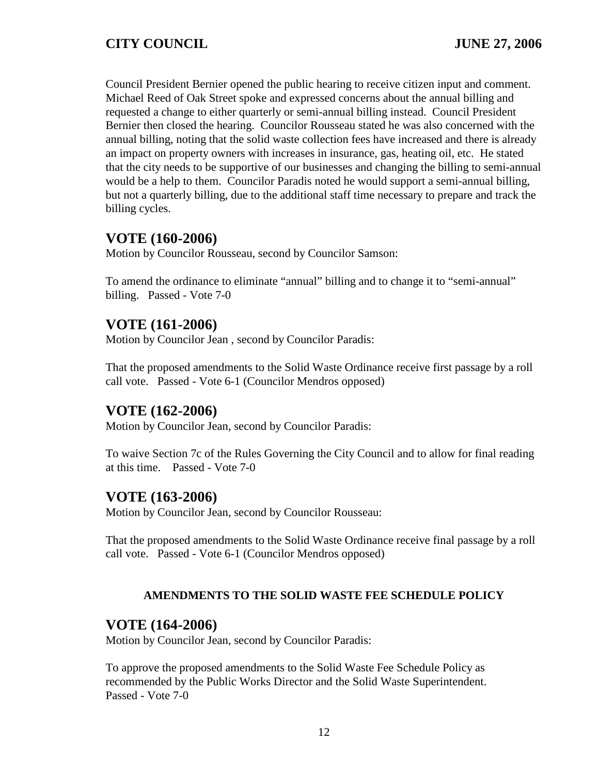Council President Bernier opened the public hearing to receive citizen input and comment. Michael Reed of Oak Street spoke and expressed concerns about the annual billing and requested a change to either quarterly or semi-annual billing instead. Council President Bernier then closed the hearing. Councilor Rousseau stated he was also concerned with the annual billing, noting that the solid waste collection fees have increased and there is already an impact on property owners with increases in insurance, gas, heating oil, etc. He stated that the city needs to be supportive of our businesses and changing the billing to semi-annual would be a help to them. Councilor Paradis noted he would support a semi-annual billing, but not a quarterly billing, due to the additional staff time necessary to prepare and track the billing cycles.

# **VOTE (160-2006)**

Motion by Councilor Rousseau, second by Councilor Samson:

To amend the ordinance to eliminate "annual" billing and to change it to "semi-annual" billing. Passed - Vote 7-0

## **VOTE (161-2006)**

Motion by Councilor Jean , second by Councilor Paradis:

That the proposed amendments to the Solid Waste Ordinance receive first passage by a roll call vote. Passed - Vote 6-1 (Councilor Mendros opposed)

# **VOTE (162-2006)**

Motion by Councilor Jean, second by Councilor Paradis:

To waive Section 7c of the Rules Governing the City Council and to allow for final reading at this time. Passed - Vote 7-0

# **VOTE (163-2006)**

Motion by Councilor Jean, second by Councilor Rousseau:

That the proposed amendments to the Solid Waste Ordinance receive final passage by a roll call vote. Passed - Vote 6-1 (Councilor Mendros opposed)

#### **AMENDMENTS TO THE SOLID WASTE FEE SCHEDULE POLICY**

## **VOTE (164-2006)**

Motion by Councilor Jean, second by Councilor Paradis:

To approve the proposed amendments to the Solid Waste Fee Schedule Policy as recommended by the Public Works Director and the Solid Waste Superintendent. Passed - Vote 7-0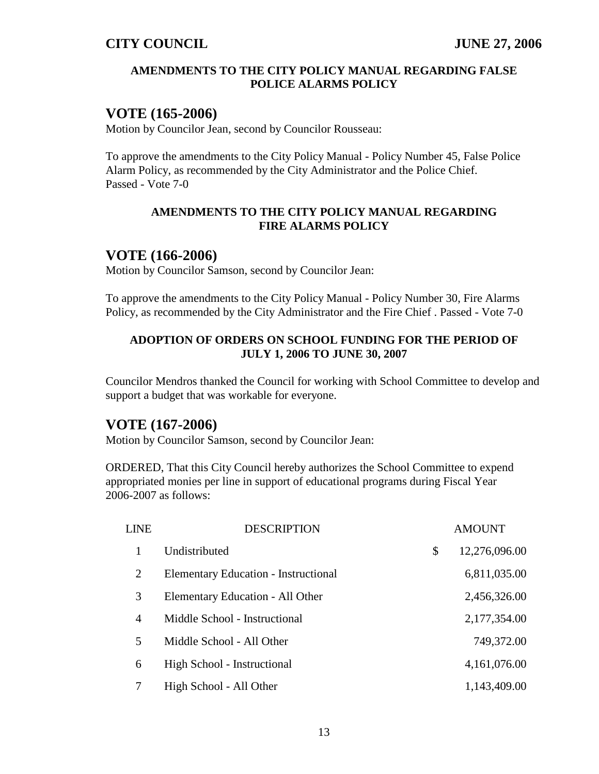#### **AMENDMENTS TO THE CITY POLICY MANUAL REGARDING FALSE POLICE ALARMS POLICY**

## **VOTE (165-2006)**

Motion by Councilor Jean, second by Councilor Rousseau:

To approve the amendments to the City Policy Manual - Policy Number 45, False Police Alarm Policy, as recommended by the City Administrator and the Police Chief. Passed - Vote 7-0

#### **AMENDMENTS TO THE CITY POLICY MANUAL REGARDING FIRE ALARMS POLICY**

## **VOTE (166-2006)**

Motion by Councilor Samson, second by Councilor Jean:

To approve the amendments to the City Policy Manual - Policy Number 30, Fire Alarms Policy, as recommended by the City Administrator and the Fire Chief . Passed - Vote 7-0

#### **ADOPTION OF ORDERS ON SCHOOL FUNDING FOR THE PERIOD OF JULY 1, 2006 TO JUNE 30, 2007**

Councilor Mendros thanked the Council for working with School Committee to develop and support a budget that was workable for everyone.

## **VOTE (167-2006)**

Motion by Councilor Samson, second by Councilor Jean:

ORDERED, That this City Council hereby authorizes the School Committee to expend appropriated monies per line in support of educational programs during Fiscal Year 2006-2007 as follows:

| <b>LINE</b>    | <b>DESCRIPTION</b>                          | <b>AMOUNT</b>       |
|----------------|---------------------------------------------|---------------------|
|                | Undistributed                               | \$<br>12,276,096.00 |
| 2              | <b>Elementary Education - Instructional</b> | 6,811,035.00        |
| 3              | Elementary Education - All Other            | 2,456,326.00        |
| $\overline{4}$ | Middle School - Instructional               | 2,177,354.00        |
| 5              | Middle School - All Other                   | 749,372.00          |
| 6              | High School - Instructional                 | 4, 161, 076.00      |
| 7              | High School - All Other                     | 1,143,409.00        |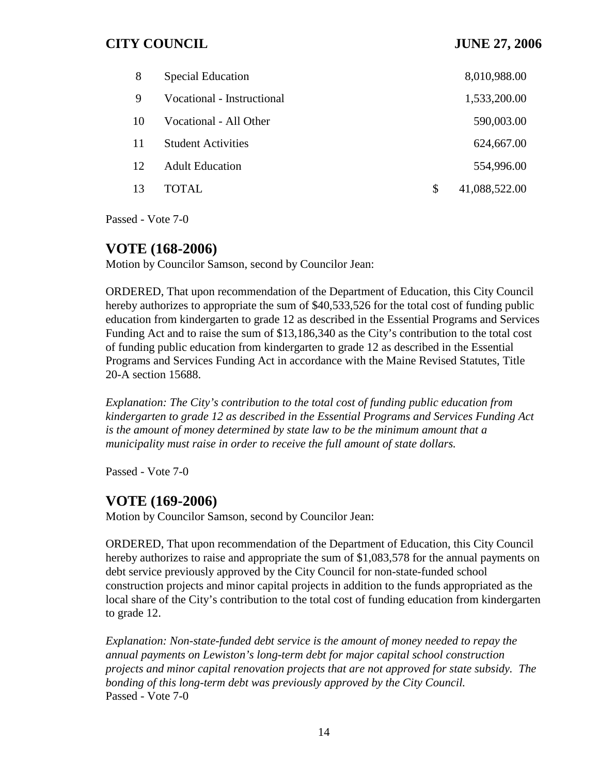| 8   | <b>Special Education</b>   | 8,010,988.00        |
|-----|----------------------------|---------------------|
| 9   | Vocational - Instructional | 1,533,200.00        |
| 10  | Vocational - All Other     | 590,003.00          |
| 11  | <b>Student Activities</b>  | 624,667.00          |
| 12. | <b>Adult Education</b>     | 554,996.00          |
| 13  | TOTAL.                     | \$<br>41,088,522.00 |

Passed - Vote 7-0

## **VOTE (168-2006)**

Motion by Councilor Samson, second by Councilor Jean:

ORDERED, That upon recommendation of the Department of Education, this City Council hereby authorizes to appropriate the sum of \$40,533,526 for the total cost of funding public education from kindergarten to grade 12 as described in the Essential Programs and Services Funding Act and to raise the sum of \$13,186,340 as the City's contribution to the total cost of funding public education from kindergarten to grade 12 as described in the Essential Programs and Services Funding Act in accordance with the Maine Revised Statutes, Title 20-A section 15688.

*Explanation: The City's contribution to the total cost of funding public education from kindergarten to grade 12 as described in the Essential Programs and Services Funding Act is the amount of money determined by state law to be the minimum amount that a municipality must raise in order to receive the full amount of state dollars.*

Passed - Vote 7-0

## **VOTE (169-2006)**

Motion by Councilor Samson, second by Councilor Jean:

ORDERED, That upon recommendation of the Department of Education, this City Council hereby authorizes to raise and appropriate the sum of \$1,083,578 for the annual payments on debt service previously approved by the City Council for non-state-funded school construction projects and minor capital projects in addition to the funds appropriated as the local share of the City's contribution to the total cost of funding education from kindergarten to grade 12.

*Explanation: Non-state-funded debt service is the amount of money needed to repay the annual payments on Lewiston's long-term debt for major capital school construction projects and minor capital renovation projects that are not approved for state subsidy. The bonding of this long-term debt was previously approved by the City Council.* Passed - Vote 7-0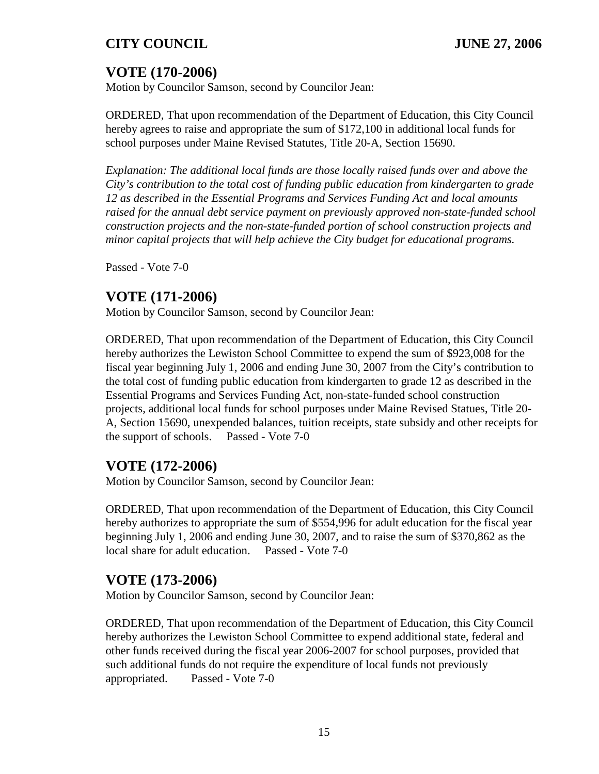# **VOTE (170-2006)**

Motion by Councilor Samson, second by Councilor Jean:

ORDERED, That upon recommendation of the Department of Education, this City Council hereby agrees to raise and appropriate the sum of \$172,100 in additional local funds for school purposes under Maine Revised Statutes, Title 20-A, Section 15690.

*Explanation: The additional local funds are those locally raised funds over and above the City's contribution to the total cost of funding public education from kindergarten to grade 12 as described in the Essential Programs and Services Funding Act and local amounts raised for the annual debt service payment on previously approved non-state-funded school construction projects and the non-state-funded portion of school construction projects and minor capital projects that will help achieve the City budget for educational programs.*

Passed - Vote 7-0

# **VOTE (171-2006)**

Motion by Councilor Samson, second by Councilor Jean:

ORDERED, That upon recommendation of the Department of Education, this City Council hereby authorizes the Lewiston School Committee to expend the sum of \$923,008 for the fiscal year beginning July 1, 2006 and ending June 30, 2007 from the City's contribution to the total cost of funding public education from kindergarten to grade 12 as described in the Essential Programs and Services Funding Act, non-state-funded school construction projects, additional local funds for school purposes under Maine Revised Statues, Title 20- A, Section 15690, unexpended balances, tuition receipts, state subsidy and other receipts for the support of schools. Passed - Vote 7-0

# **VOTE (172-2006)**

Motion by Councilor Samson, second by Councilor Jean:

ORDERED, That upon recommendation of the Department of Education, this City Council hereby authorizes to appropriate the sum of \$554,996 for adult education for the fiscal year beginning July 1, 2006 and ending June 30, 2007, and to raise the sum of \$370,862 as the local share for adult education. Passed - Vote 7-0

# **VOTE (173-2006)**

Motion by Councilor Samson, second by Councilor Jean:

ORDERED, That upon recommendation of the Department of Education, this City Council hereby authorizes the Lewiston School Committee to expend additional state, federal and other funds received during the fiscal year 2006-2007 for school purposes, provided that such additional funds do not require the expenditure of local funds not previously appropriated. Passed - Vote 7-0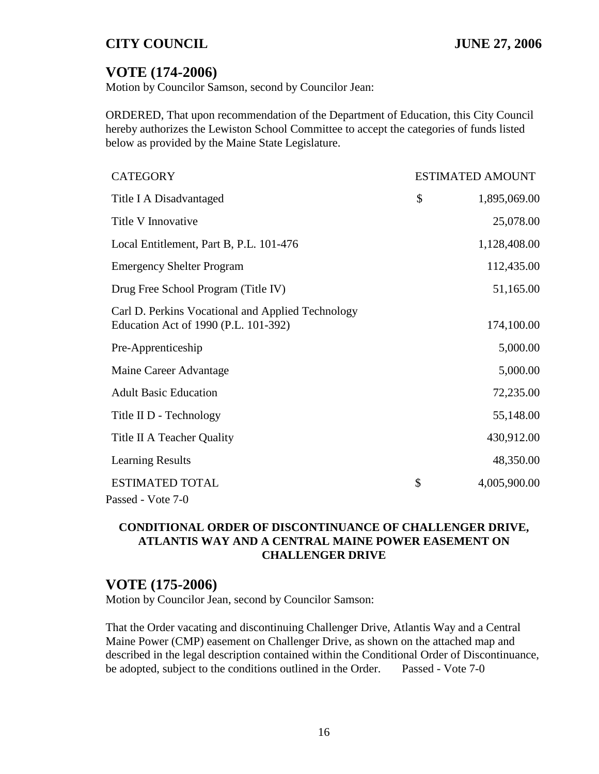# **VOTE (174-2006)**

Motion by Councilor Samson, second by Councilor Jean:

ORDERED, That upon recommendation of the Department of Education, this City Council hereby authorizes the Lewiston School Committee to accept the categories of funds listed below as provided by the Maine State Legislature.

| <b>CATEGORY</b>                                                                           | <b>ESTIMATED AMOUNT</b> |              |
|-------------------------------------------------------------------------------------------|-------------------------|--------------|
| Title I A Disadvantaged                                                                   | \$                      | 1,895,069.00 |
| Title V Innovative                                                                        |                         | 25,078.00    |
| Local Entitlement, Part B, P.L. 101-476                                                   |                         | 1,128,408.00 |
| <b>Emergency Shelter Program</b>                                                          |                         | 112,435.00   |
| Drug Free School Program (Title IV)                                                       |                         | 51,165.00    |
| Carl D. Perkins Vocational and Applied Technology<br>Education Act of 1990 (P.L. 101-392) |                         | 174,100.00   |
| Pre-Apprenticeship                                                                        |                         | 5,000.00     |
| Maine Career Advantage                                                                    |                         | 5,000.00     |
| <b>Adult Basic Education</b>                                                              |                         | 72,235.00    |
| Title II D - Technology                                                                   |                         | 55,148.00    |
| Title II A Teacher Quality                                                                |                         | 430,912.00   |
| <b>Learning Results</b>                                                                   |                         | 48,350.00    |
| <b>ESTIMATED TOTAL</b><br>Passed - Vote 7-0                                               | \$                      | 4,005,900.00 |

#### **CONDITIONAL ORDER OF DISCONTINUANCE OF CHALLENGER DRIVE, ATLANTIS WAY AND A CENTRAL MAINE POWER EASEMENT ON CHALLENGER DRIVE**

## **VOTE (175-2006)**

Motion by Councilor Jean, second by Councilor Samson:

That the Order vacating and discontinuing Challenger Drive, Atlantis Way and a Central Maine Power (CMP) easement on Challenger Drive, as shown on the attached map and described in the legal description contained within the Conditional Order of Discontinuance, be adopted, subject to the conditions outlined in the Order. Passed - Vote 7-0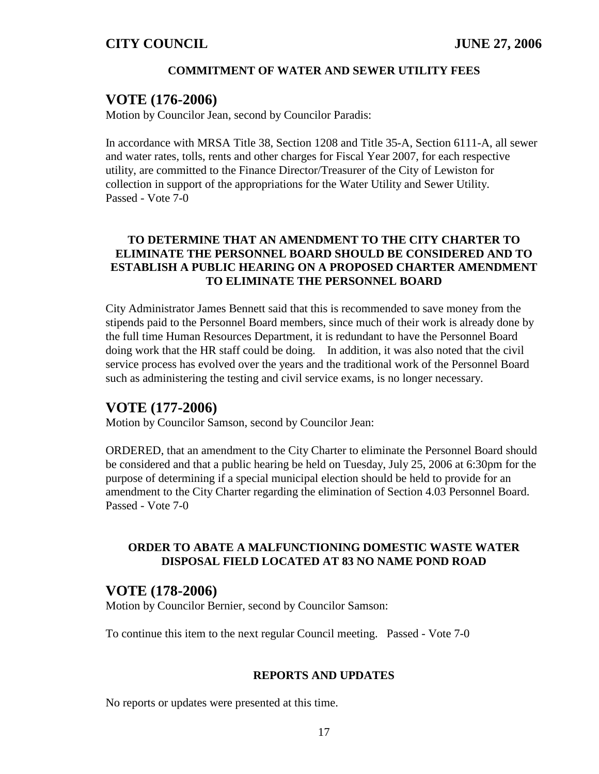#### **COMMITMENT OF WATER AND SEWER UTILITY FEES**

#### **VOTE (176-2006)**

Motion by Councilor Jean, second by Councilor Paradis:

In accordance with MRSA Title 38, Section 1208 and Title 35-A, Section 6111-A, all sewer and water rates, tolls, rents and other charges for Fiscal Year 2007, for each respective utility, are committed to the Finance Director/Treasurer of the City of Lewiston for collection in support of the appropriations for the Water Utility and Sewer Utility. Passed - Vote 7-0

#### **TO DETERMINE THAT AN AMENDMENT TO THE CITY CHARTER TO ELIMINATE THE PERSONNEL BOARD SHOULD BE CONSIDERED AND TO ESTABLISH A PUBLIC HEARING ON A PROPOSED CHARTER AMENDMENT TO ELIMINATE THE PERSONNEL BOARD**

City Administrator James Bennett said that this is recommended to save money from the stipends paid to the Personnel Board members, since much of their work is already done by the full time Human Resources Department, it is redundant to have the Personnel Board doing work that the HR staff could be doing. In addition, it was also noted that the civil service process has evolved over the years and the traditional work of the Personnel Board such as administering the testing and civil service exams, is no longer necessary.

#### **VOTE (177-2006)**

Motion by Councilor Samson, second by Councilor Jean:

ORDERED, that an amendment to the City Charter to eliminate the Personnel Board should be considered and that a public hearing be held on Tuesday, July 25, 2006 at 6:30pm for the purpose of determining if a special municipal election should be held to provide for an amendment to the City Charter regarding the elimination of Section 4.03 Personnel Board. Passed - Vote 7-0

#### **ORDER TO ABATE A MALFUNCTIONING DOMESTIC WASTE WATER DISPOSAL FIELD LOCATED AT 83 NO NAME POND ROAD**

#### **VOTE (178-2006)**

Motion by Councilor Bernier, second by Councilor Samson:

To continue this item to the next regular Council meeting. Passed - Vote 7-0

#### **REPORTS AND UPDATES**

No reports or updates were presented at this time.